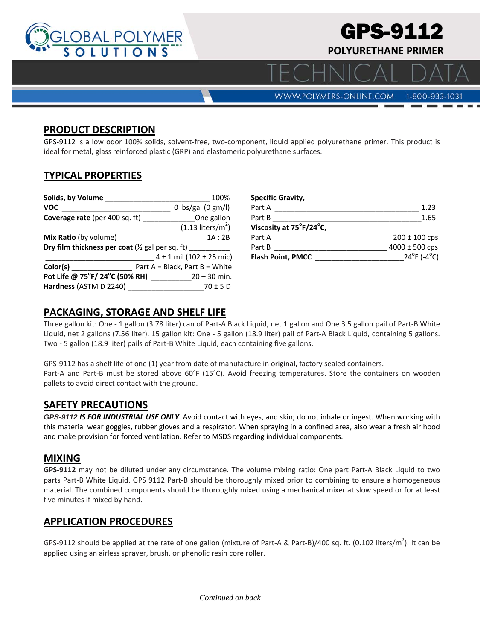

### **PRODUCT DESCRIPTION**

GPS-9112 is a low odor 100% solids, solvent-free, two-component, liquid applied polyurethane primer. This product is ideal for metal, glass reinforced plastic (GRP) and elastomeric polyurethane surfaces.

# **TYPICAL PROPERTIES**

| Solids, by Volume                                                                                                                                                                                                                                | 100%                                             |  |
|--------------------------------------------------------------------------------------------------------------------------------------------------------------------------------------------------------------------------------------------------|--------------------------------------------------|--|
| <b>VOC</b>                                                                                                                                                                                                                                       | 0 lbs/gal (0 $gm/l$ )                            |  |
|                                                                                                                                                                                                                                                  | <b>Coverage rate</b> (per 400 sq. ft) One gallon |  |
|                                                                                                                                                                                                                                                  | $(1.13$ liters/m <sup>2</sup> )                  |  |
| Mix Ratio (by volume) ________                                                                                                                                                                                                                   | 1A : 2B                                          |  |
| Dry film thickness per coat ( $\frac{1}{2}$ gal per sq. ft) ____                                                                                                                                                                                 |                                                  |  |
|                                                                                                                                                                                                                                                  | $4 \pm 1$ mil (102 $\pm$ 25 mic)                 |  |
| Color(s)<br><u>and the company of the company of the company of the company of the company of the company of the company of the company of the company of the company of the company of the company of the company of the company of the com</u> | Part $A = Black$ , Part $B = White$              |  |
|                                                                                                                                                                                                                                                  |                                                  |  |
| Hardness (ASTM D 2240)                                                                                                                                                                                                                           | $70 \pm 5$ D                                     |  |

| <b>Specific Gravity,</b> |                            |
|--------------------------|----------------------------|
| Part A                   | 1.23                       |
| Part B                   | 1.65                       |
| Viscosity at 75°F/24°C,  |                            |
| Part A                   | $200 \pm 100$ cps          |
| Part B                   | $4000 \pm 500$ cps         |
| <b>Flash Point, PMCC</b> | $24^{\circ}F(-4^{\circ}C)$ |

### **PACKAGING, STORAGE AND SHELF LIFE**

Three gallon kit: One ‐ 1 gallon (3.78 liter) can of Part‐A Black Liquid, net 1 gallon and One 3.5 gallon pail of Part‐B White Liquid, net 2 gallons (7.56 liter). 15 gallon kit: One ‐ 5 gallon (18.9 liter) pail of Part‐A Black Liquid, containing 5 gallons. Two ‐ 5 gallon (18.9 liter) pails of Part‐B White Liquid, each containing five gallons.

GPS-9112 has a shelf life of one (1) year from date of manufacture in original, factory sealed containers. Part‐A and Part‐B must be stored above 60°F (15°C). Avoid freezing temperatures. Store the containers on wooden pallets to avoid direct contact with the ground.

### **SAFETY PRECAUTIONS**

*GPS-9112 IS FOR INDUSTRIAL USE ONLY*. Avoid contact with eyes, and skin; do not inhale or ingest. When working with this material wear goggles, rubber gloves and a respirator. When spraying in a confined area, also wear a fresh air hood and make provision for forced ventilation. Refer to MSDS regarding individual components.

#### **MIXING**

**GPS‐9112** may not be diluted under any circumstance. The volume mixing ratio: One part Part‐A Black Liquid to two parts Part-B White Liquid. GPS 9112 Part-B should be thoroughly mixed prior to combining to ensure a homogeneous material. The combined components should be thoroughly mixed using a mechanical mixer at slow speed or for at least five minutes if mixed by hand.

### **APPLICATION PROCEDURES**

GPS-9112 should be applied at the rate of one gallon (mixture of Part-A & Part-B)/400 sq. ft. (0.102 liters/m<sup>2</sup>). It can be applied using an airless sprayer, brush, or phenolic resin core roller.